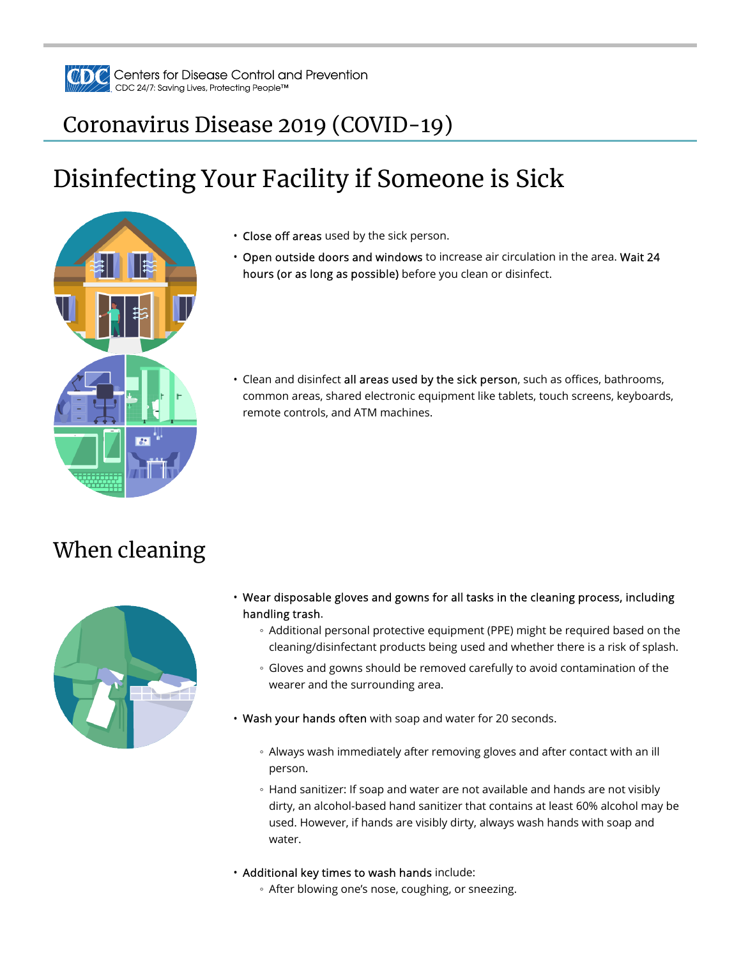

## Coronavirus Disease 2019 (COVID-19)

# Disinfecting Your Facility if Someone is Sick



- Close off areas used by the sick person.
- Open outside doors and windows to increase air circulation in the area. Wait 24 hours (or as long as possible) before you clean or disinfect.
- Clean and disinfect all areas used by the sick person, such as offices, bathrooms, common areas, shared electronic equipment like tablets, touch screens, keyboards, remote controls, and ATM machines.

## When cleaning



- Wear disposable gloves and gowns for all tasks in the cleaning process, including handling trash.
	- Additional personal protective equipment (PPE) might be required based on the cleaning/disinfectant products being used and whether there is a risk of splash.
	- Gloves and gowns should be removed carefully to avoid contamination of the wearer and the surrounding area.
- Wash your hands often with soap and water for 20 seconds.
	- Always wash immediately after removing gloves and after contact with an ill person.
	- Hand sanitizer: If soap and water are not available and hands are not visibly dirty, an alcohol-based hand sanitizer that contains at least 60% alcohol may be used. However, if hands are visibly dirty, always wash hands with soap and water.
- Additional key times to wash hands include:
	- After blowing one's nose, coughing, or sneezing.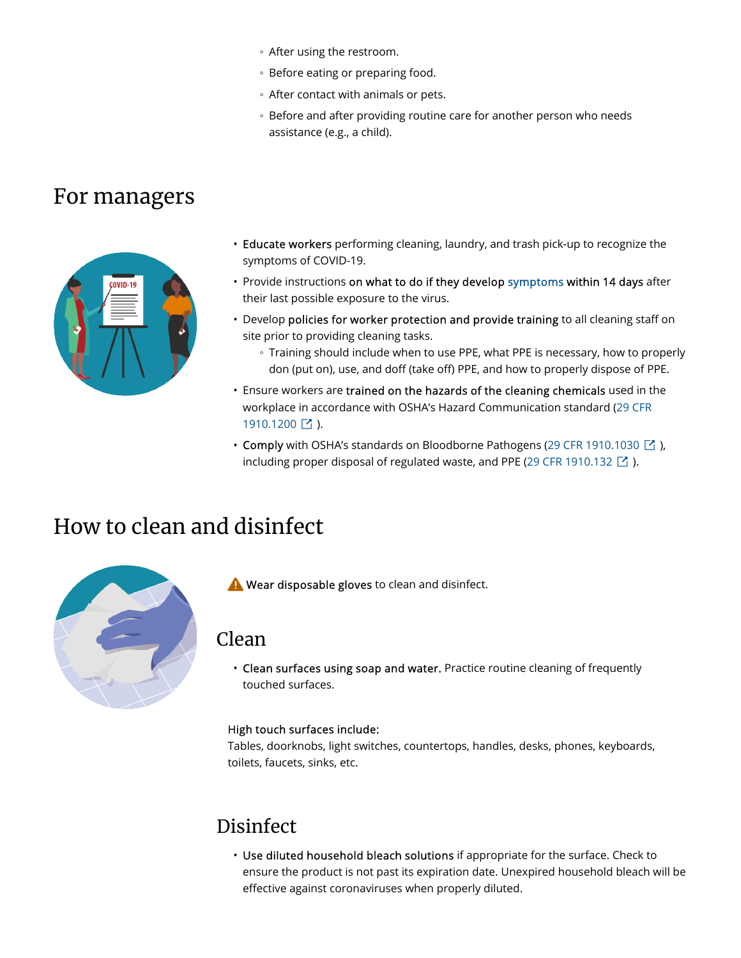- After using the restroom.
- Before eating or preparing food.
- After contact with animals or pets.
- Before and after providing routine care for another person who needs assistance (e.g., a child).

## For managers



- Educate workers performing cleaning, laundry, and trash pick-up to recognize the symptoms of COVID-19.
- Provide instructions on what to do if they develop symptoms within 14 days after their last possible exposure to the virus.
- Develop policies for worker protection and provide training to all cleaning staff on site prior to providing cleaning tasks.
	- Training should include when to use PPE, what PPE is necessary, how to properly don (put on), use, and doff (take off) PPE, and how to properly dispose of PPE.
- Ensure workers are trained on the hazards of the cleaning chemicals used in the workplace in accordance with OSHA's Hazard Communication standard (29 CFR 1910.1200  $\boxed{\phantom{a}}$  ).
- Comply with OSHA's standards on Bloodborne Pathogens (29 CFR 1910.1030  $\boxdot$  ), including proper disposal of regulated waste, and PPE (29 CFR 1910.132  $\boxtimes$  ).

## How to clean and disinfect



Wear disposable gloves to clean and disinfect.

### Clean

• Clean surfaces using soap and water. Practice routine cleaning of frequently touched surfaces.

#### High touch surfaces include:

Tables, doorknobs, light switches, countertops, handles, desks, phones, keyboards, toilets, faucets, sinks, etc.

## **Disinfect**

• Use diluted household bleach solutions if appropriate for the surface. Check to ensure the product is not past its expiration date. Unexpired household bleach will be effective against coronaviruses when properly diluted.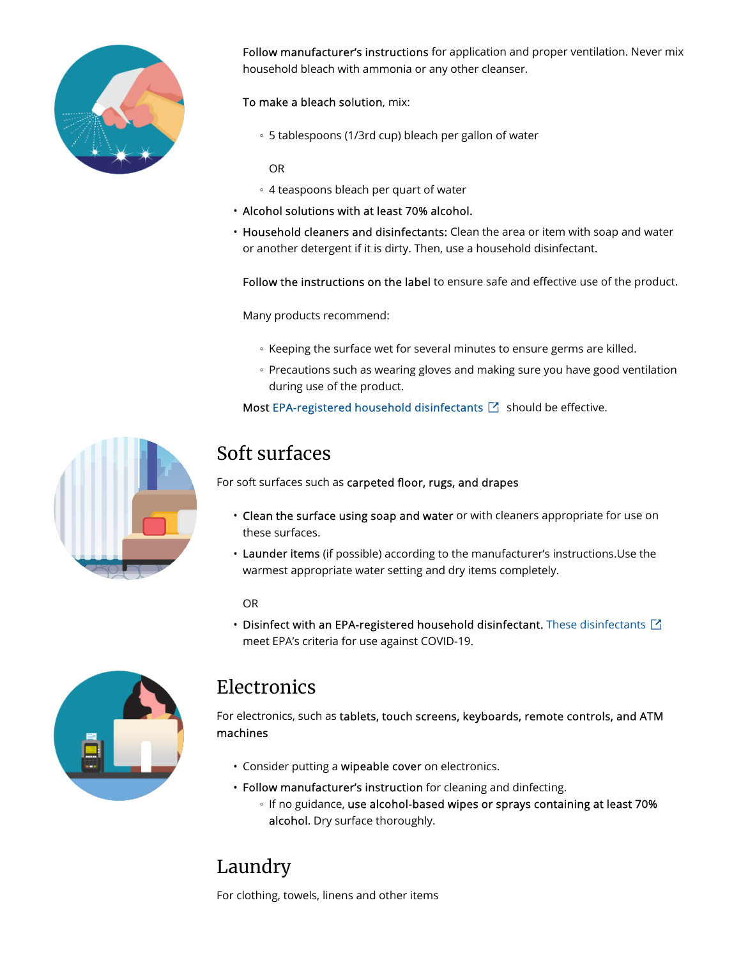

Follow manufacturer's instructions for application and proper ventilation. Never mix household bleach with ammonia or any other cleanser.

- To make a bleach solution, mix:
	- 5 tablespoons (1/3rd cup) bleach per gallon of water

OR

- 4 teaspoons bleach per quart of water
- Alcohol solutions with at least 70% alcohol.
- Household cleaners and disinfectants: Clean the area or item with soap and water or another detergent if it is dirty. Then, use a household disinfectant.

Follow the instructions on the label to ensure safe and effective use of the product.

Many products recommend:

- Keeping the surface wet for several minutes to ensure germs are killed.
- Precautions such as wearing gloves and making sure you have good ventilation during use of the product.

Most EPA-registered household disinfectants  $\boxtimes$  should be effective.



### Soft surfaces

For soft surfaces such as carpeted floor, rugs, and drapes

- Clean the surface using soap and water or with cleaners appropriate for use on these surfaces.
- Launder items (if possible) according to the manufacturer's instructions.Use the warmest appropriate water setting and dry items completely.

OR

• Disinfect with an EPA-registered household disinfectant. These disinfectants  $\boxdot$ meet EPA's criteria for use against COVID-19.



### **Electronics**

For electronics, such as tablets, touch screens, keyboards, remote controls, and ATM machines

- Consider putting a wipeable cover on electronics.
- Follow manufacturer's instruction for cleaning and dinfecting.
	- If no guidance, use alcohol-based wipes or sprays containing at least 70% alcohol. Dry surface thoroughly.

## Laundry

For clothing, towels, linens and other items